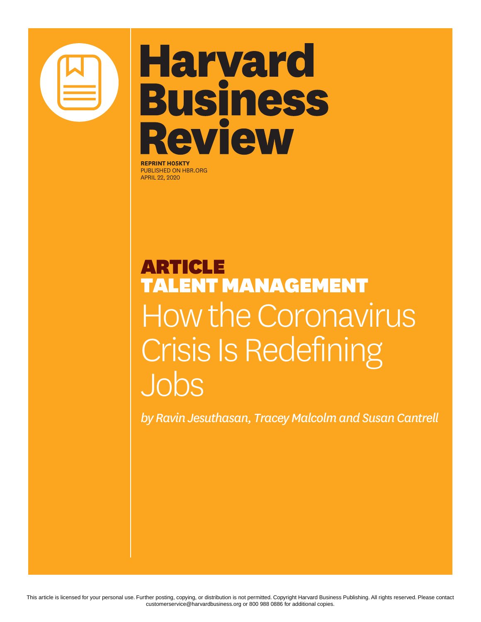

# **Harvard Business Review**

**REPRINT H05KTY** PUBLISHED ON HBR.ORG APRIL 22, 2020

### ARTICLE TALENT MANAGEMENT How the Coronavirus Crisis Is Redefining Jobs

*by Ravin Jesuthasan, Tracey Malcolm and Susan Cantrell*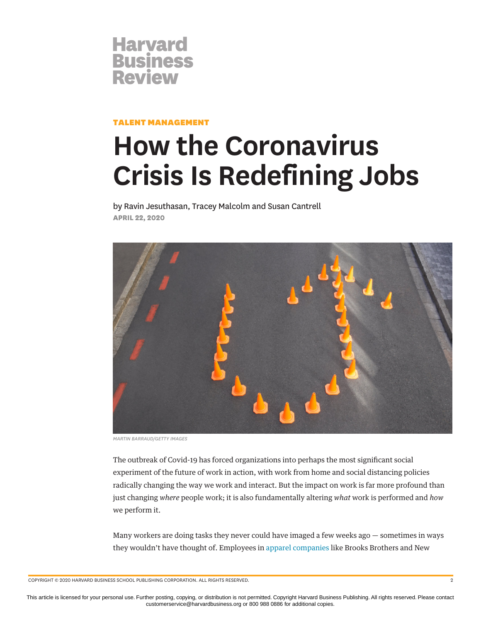

TALENT MANAGEMENT

## **How the Coronavirus Crisis Is Redefining Jobs**

by Ravin Jesuthasan, Tracey Malcolm and Susan Cantrell **APRIL 22, 2020**



*MARTIN BARRAUD/GETTY IMAGES*

The outbreak of Covid-19 has forced organizations into perhaps the most significant social experiment of the future of work in action, with work from home and social distancing policies radically changing the way we work and interact. But the impact on work is far more profound than just changing *where* people work; it is also fundamentally altering *what* work is performed and *how* we perform it.

Many workers are doing tasks they never could have imaged a few weeks ago — sometimes in ways they wouldn't have thought of. Employees in [apparel companies](https://www.wsj.com/articles/clothing-brands-are-now-producing-medical-gear-but-does-it-work-11585915251) like Brooks Brothers and New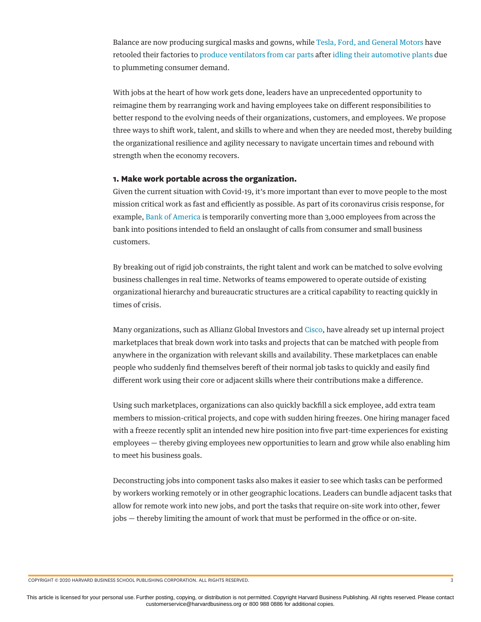Balance are now producing surgical masks and gowns, while [Tesla, Ford, and General Motors](https://www.theverge.com/2020/3/24/21192282/ford-tesla-gm-elon-musk-coronavirus-masks-ventilators-pandemic) have retooled their factories to [produce ventilators from car parts](https://techcrunch.com/2020/04/05/tesla-shows-how-its-building-ventilators-with-car-parts/) after [idling their automotive plants](https://www.theverge.com/2020/3/18/21185015/honda-coronavirus-factory-shut-down-fiat-chrysler-ford-gm) due to plummeting consumer demand.

With jobs at the heart of how work gets done, leaders have an unprecedented opportunity to reimagine them by rearranging work and having employees take on different responsibilities to better respond to the evolving needs of their organizations, customers, and employees. We propose three ways to shift work, talent, and skills to where and when they are needed most, thereby building the organizational resilience and agility necessary to navigate uncertain times and rebound with strength when the economy recovers.

#### **1. Make work portable across the organization.**

Given the current situation with Covid-19, it's more important than ever to move people to the most mission critical work as fast and efficiently as possible. As part of its coronavirus crisis response, for example, [Bank of America](https://www.businessinsider.com/bank-of-america-shifting-some-employees-roles-amid-coronavirus-2020-4) is temporarily converting more than 3,000 employees from across the bank into positions intended to field an onslaught of calls from consumer and small business customers.

By breaking out of rigid job constraints, the right talent and work can be matched to solve evolving business challenges in real time. Networks of teams empowered to operate outside of existing organizational hierarchy and bureaucratic structures are a critical capability to reacting quickly in times of crisis.

Many organizations, such as Allianz Global Investors and [Cisco,](https://www.ere.net/at-cisco-were-trying-to-create-our-own-gig-economy-for-employees/) have already set up internal project marketplaces that break down work into tasks and projects that can be matched with people from anywhere in the organization with relevant skills and availability. These marketplaces can enable people who suddenly find themselves bereft of their normal job tasks to quickly and easily find different work using their core or adjacent skills where their contributions make a difference.

Using such marketplaces, organizations can also quickly backfill a sick employee, add extra team members to mission-critical projects, and cope with sudden hiring freezes. One hiring manager faced with a freeze recently split an intended new hire position into five part-time experiences for existing employees — thereby giving employees new opportunities to learn and grow while also enabling him to meet his business goals.

Deconstructing jobs into component tasks also makes it easier to see which tasks can be performed by workers working remotely or in other geographic locations. Leaders can bundle adjacent tasks that allow for remote work into new jobs, and port the tasks that require on-site work into other, fewer jobs — thereby limiting the amount of work that must be performed in the office or on-site.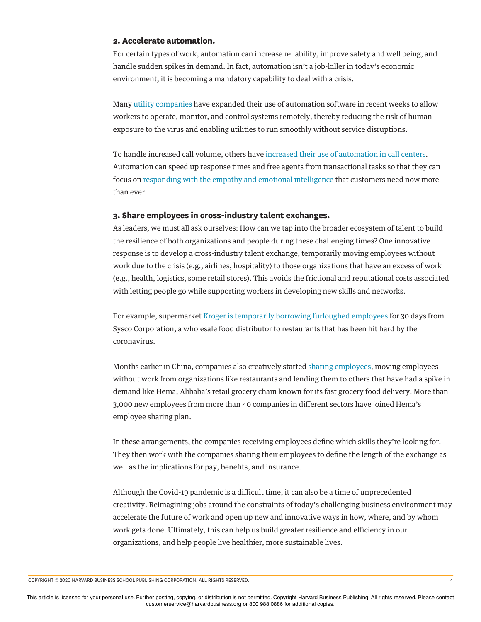#### **2. Accelerate automation.**

For certain types of work, automation can increase reliability, improve safety and well being, and handle sudden spikes in demand. In fact, automation isn't a job-killer in today's economic environment, it is becoming a mandatory capability to deal with a crisis.

Many [utility companies](https://www.ge.com/reports/remote-control-utilities-and-manufacturers-turn-to-automation-software-to-operate-from-home-during-outbreak/) have expanded their use of automation software in recent weeks to allow workers to operate, monitor, and control systems remotely, thereby reducing the risk of human exposure to the virus and enabling utilities to run smoothly without service disruptions.

To handle increased call volume, others have [increased their use of automation in call centers](https://venturebeat.com/2020/03/19/coronavirus-is-prompting-companies-to-adopt-ai-call-center-solutions/). Automation can speed up response times and free agents from transactional tasks so that they can focus on [responding with the empathy and emotional intelligence](https://hbr.org/2020/04/supporting-customer-service-through-the-coronavirus-crisis) that customers need now more than ever.

#### **3. Share employees in cross-industry talent exchanges.**

As leaders, we must all ask ourselves: How can we tap into the broader ecosystem of talent to build the resilience of both organizations and people during these challenging times? One innovative response is to develop a cross-industry talent exchange, temporarily moving employees without work due to the crisis (e.g., airlines, hospitality) to those organizations that have an excess of work (e.g., health, logistics, some retail stores). This avoids the frictional and reputational costs associated with letting people go while supporting workers in developing new skills and networks.

For example, supermarket [Kroger is temporarily borrowing furloughed employees](https://finance.yahoo.com/news/food-distribution-sector-responding-change-231027291.html) for 30 days from Sysco Corporation, a wholesale food distributor to restaurants that has been hit hard by the coronavirus.

Months earlier in China, companies also creatively started [sharing employees](https://news.cgtn.com/news/2020-03-09/Employee-sharing-helping-companies-get-through-COVID-19-OqvFZWc67m/index.html), moving employees without work from organizations like restaurants and lending them to others that have had a spike in demand like Hema, Alibaba's retail grocery chain known for its fast grocery food delivery. More than 3,000 new employees from more than 40 companies in different sectors have joined Hema's employee sharing plan.

In these arrangements, the companies receiving employees define which skills they're looking for. They then work with the companies sharing their employees to define the length of the exchange as well as the implications for pay, benefits, and insurance.

Although the Covid-19 pandemic is a difficult time, it can also be a time of unprecedented creativity. Reimagining jobs around the constraints of today's challenging business environment may accelerate the future of work and open up new and innovative ways in how, where, and by whom work gets done. Ultimately, this can help us build greater resilience and efficiency in our organizations, and help people live healthier, more sustainable lives.